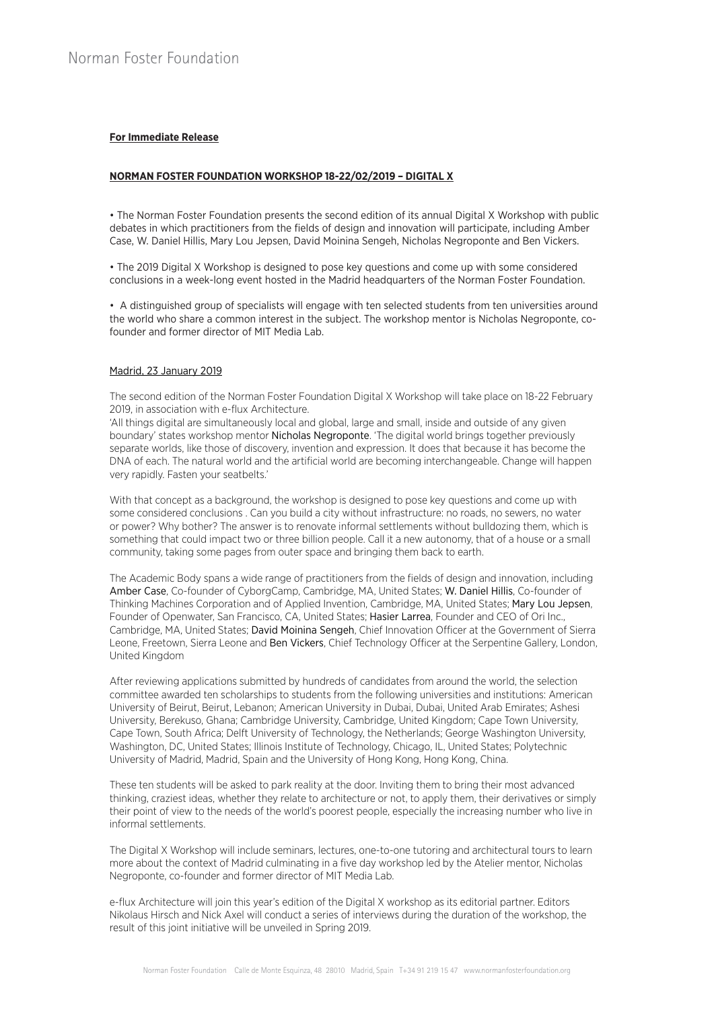# **For Immediate Release**

## **NORMAN FOSTER FOUNDATION WORKSHOP 18-22/02/2019 – DIGITAL X**

• The Norman Foster Foundation presents the second edition of its annual Digital X Workshop with public debates in which practitioners from the fields of design and innovation will participate, including Amber Case, W. Daniel Hillis, Mary Lou Jepsen, David Moinina Sengeh, Nicholas Negroponte and Ben Vickers.

• The 2019 Digital X Workshop is designed to pose key questions and come up with some considered conclusions in a week-long event hosted in the Madrid headquarters of the Norman Foster Foundation.

• A distinguished group of specialists will engage with ten selected students from ten universities around the world who share a common interest in the subject. The workshop mentor is Nicholas Negroponte, cofounder and former director of MIT Media Lab.

## Madrid, 23 January 2019

The second edition of the Norman Foster Foundation Digital X Workshop will take place on 18-22 February 2019, in association with e-flux Architecture.

'All things digital are simultaneously local and global, large and small, inside and outside of any given boundary' states workshop mentor Nicholas Negroponte. 'The digital world brings together previously separate worlds, like those of discovery, invention and expression. It does that because it has become the DNA of each. The natural world and the artificial world are becoming interchangeable. Change will happen very rapidly. Fasten your seatbelts.'

With that concept as a background, the workshop is designed to pose key questions and come up with some considered conclusions . Can you build a city without infrastructure: no roads, no sewers, no water or power? Why bother? The answer is to renovate informal settlements without bulldozing them, which is something that could impact two or three billion people. Call it a new autonomy, that of a house or a small community, taking some pages from outer space and bringing them back to earth.

The Academic Body spans a wide range of practitioners from the fields of design and innovation, including Amber Case, Co-founder of CyborgCamp, Cambridge, MA, United States; W. Daniel Hillis, Co-founder of Thinking Machines Corporation and of Applied Invention, Cambridge, MA, United States; Mary Lou Jepsen, Founder of Openwater, San Francisco, CA, United States; Hasier Larrea, Founder and CEO of Ori Inc., Cambridge, MA, United States; David Moinina Sengeh, Chief Innovation Officer at the Government of Sierra Leone, Freetown, Sierra Leone and Ben Vickers, Chief Technology Officer at the Serpentine Gallery, London, United Kingdom

After reviewing applications submitted by hundreds of candidates from around the world, the selection committee awarded ten scholarships to students from the following universities and institutions: American University of Beirut, Beirut, Lebanon; American University in Dubai, Dubai, United Arab Emirates; Ashesi University, Berekuso, Ghana; Cambridge University, Cambridge, United Kingdom; Cape Town University, Cape Town, South Africa; Delft University of Technology, the Netherlands; George Washington University, Washington, DC, United States; Illinois Institute of Technology, Chicago, IL, United States; Polytechnic University of Madrid, Madrid, Spain and the University of Hong Kong, Hong Kong, China.

These ten students will be asked to park reality at the door. Inviting them to bring their most advanced thinking, craziest ideas, whether they relate to architecture or not, to apply them, their derivatives or simply their point of view to the needs of the world's poorest people, especially the increasing number who live in informal settlements.

The Digital X Workshop will include seminars, lectures, one-to-one tutoring and architectural tours to learn more about the context of Madrid culminating in a five day workshop led by the Atelier mentor, Nicholas Negroponte, co-founder and former director of MIT Media Lab.

e-flux Architecture will join this year's edition of the Digital X workshop as its editorial partner. Editors Nikolaus Hirsch and Nick Axel will conduct a series of interviews during the duration of the workshop, the result of this joint initiative will be unveiled in Spring 2019.